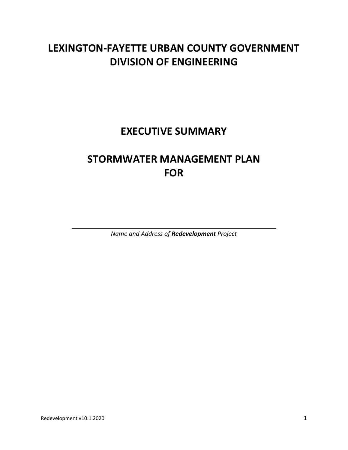# **LEXINGTON-FAYETTE URBAN COUNTY GOVERNMENT DIVISION OF ENGINEERING**

# **EXECUTIVE SUMMARY**

# **STORMWATER MANAGEMENT PLAN FOR**

*Name and Address of Redevelopment Project*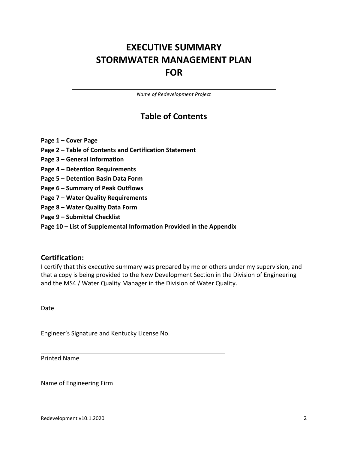# **EXECUTIVE SUMMARY STORMWATER MANAGEMENT PLAN FOR**

*Name of Redevelopment Project*

## **Table of Contents**

- **Page 1 – Cover Page**
- **Page 2 – Table of Contents and Certification Statement**
- **Page 3 – General Information**
- **Page 4 – Detention Requirements**
- **Page 5 – Detention Basin Data Form**
- **Page 6 – Summary of Peak Outflows**
- **Page 7 – Water Quality Requirements**
- **Page 8 – Water Quality Data Form**
- **Page 9 – Submittal Checklist**
- **Page 10 – List of Supplemental Information Provided in the Appendix**

#### **Certification:**

I certify that this executive summary was prepared by me or others under my supervision, and that a copy is being provided to the New Development Section in the Division of Engineering and the MS4 / Water Quality Manager in the Division of Water Quality.

Date

Engineer's Signature and Kentucky License No.

Printed Name

Name of Engineering Firm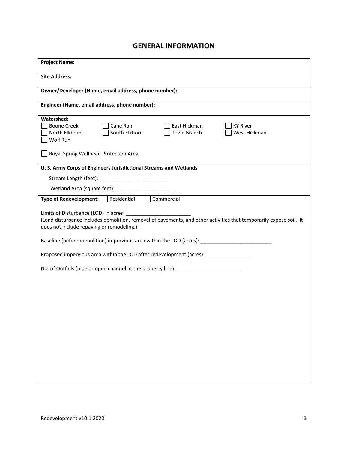### **GENERAL INFORMATION**

| <b>Project Name:</b>                                                                                                                                            |
|-----------------------------------------------------------------------------------------------------------------------------------------------------------------|
| <b>Site Address:</b>                                                                                                                                            |
| Owner/Developer (Name, email address, phone number):                                                                                                            |
| Engineer (Name, email address, phone number):                                                                                                                   |
| Watershed:<br><b>Boone Creek</b><br>Cane Run<br>East Hickman<br><b>KY River</b><br>North Elkhorn<br>South Elkhorn<br>Town Branch<br>West Hickman<br>Wolf Run    |
| Royal Spring Wellhead Protection Area                                                                                                                           |
| U. S. Army Corps of Engineers Jurisdictional Streams and Wetlands                                                                                               |
|                                                                                                                                                                 |
|                                                                                                                                                                 |
| Type of Redevelopment: Residential Commercial                                                                                                                   |
| (Land disturbance includes demolition, removal of pavements, and other activities that temporarily expose soil. It<br>does not include repaving or remodeling.) |
| Baseline (before demolition) impervious area within the LOD (acres): ______________________________                                                             |
| Proposed impervious area within the LOD after redevelopment (acres): ____________                                                                               |
| No. of Outfalls (pipe or open channel at the property line):                                                                                                    |
|                                                                                                                                                                 |
|                                                                                                                                                                 |
|                                                                                                                                                                 |
|                                                                                                                                                                 |
|                                                                                                                                                                 |
|                                                                                                                                                                 |
|                                                                                                                                                                 |
|                                                                                                                                                                 |
|                                                                                                                                                                 |
|                                                                                                                                                                 |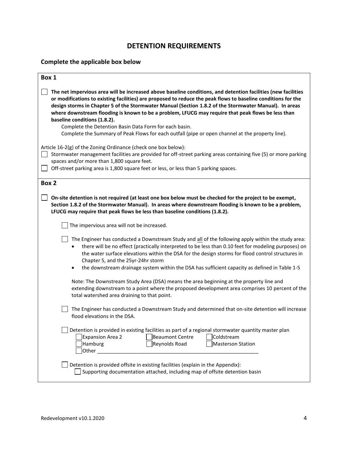## **DETENTION REQUIREMENTS**

#### **Complete the applicable box below**

| Box 1                                                                                                                                                                                                                                                                                                                                                                                                                                                                                                                                                                                                                                        |
|----------------------------------------------------------------------------------------------------------------------------------------------------------------------------------------------------------------------------------------------------------------------------------------------------------------------------------------------------------------------------------------------------------------------------------------------------------------------------------------------------------------------------------------------------------------------------------------------------------------------------------------------|
| The net impervious area will be increased above baseline conditions, and detention facilities (new facilities<br>or modifications to existing facilities) are proposed to reduce the peak flows to baseline conditions for the<br>design storms in Chapter 5 of the Stormwater Manual (Section 1.8.2 of the Stormwater Manual). In areas<br>where downstream flooding is known to be a problem, LFUCG may require that peak flows be less than<br>baseline conditions (1.8.2).<br>Complete the Detention Basin Data Form for each basin.<br>Complete the Summary of Peak Flows for each outfall (pipe or open channel at the property line). |
| Article 16-2(g) of the Zoning Ordinance (check one box below):<br>Stormwater management facilities are provided for off-street parking areas containing five (5) or more parking<br>spaces and/or more than 1,800 square feet.<br>Off-street parking area is 1,800 square feet or less, or less than 5 parking spaces.                                                                                                                                                                                                                                                                                                                       |
| Box 2                                                                                                                                                                                                                                                                                                                                                                                                                                                                                                                                                                                                                                        |
| On-site detention is not required (at least one box below must be checked for the project to be exempt,<br>Section 1.8.2 of the Stormwater Manual). In areas where downstream flooding is known to be a problem,<br>LFUCG may require that peak flows be less than baseline conditions (1.8.2).                                                                                                                                                                                                                                                                                                                                              |
| The impervious area will not be increased.                                                                                                                                                                                                                                                                                                                                                                                                                                                                                                                                                                                                   |
| The Engineer has conducted a Downstream Study and all of the following apply within the study area:<br>there will be no effect (practically interpreted to be less than 0.10 feet for modeling purposes) on<br>the water surface elevations within the DSA for the design storms for flood control structures in<br>Chapter 5, and the 25yr-24hr storm                                                                                                                                                                                                                                                                                       |
| the downstream drainage system within the DSA has sufficient capacity as defined in Table 1-5                                                                                                                                                                                                                                                                                                                                                                                                                                                                                                                                                |
| Note: The Downstream Study Area (DSA) means the area beginning at the property line and<br>extending downstream to a point where the proposed development area comprises 10 percent of the<br>total watershed area draining to that point.                                                                                                                                                                                                                                                                                                                                                                                                   |
| The Engineer has conducted a Downstream Study and determined that on-site detention will increase<br>flood elevations in the DSA.                                                                                                                                                                                                                                                                                                                                                                                                                                                                                                            |
| Detention is provided in existing facilities as part of a regional stormwater quantity master plan<br><b>Expansion Area 2</b><br><b>Beaumont Centre</b><br>Coldstream<br>Hamburg<br>Reynolds Road<br>Masterson Station<br>Other                                                                                                                                                                                                                                                                                                                                                                                                              |
| Detention is provided offsite in existing facilities (explain in the Appendix):<br>Supporting documentation attached, including map of offsite detention basin                                                                                                                                                                                                                                                                                                                                                                                                                                                                               |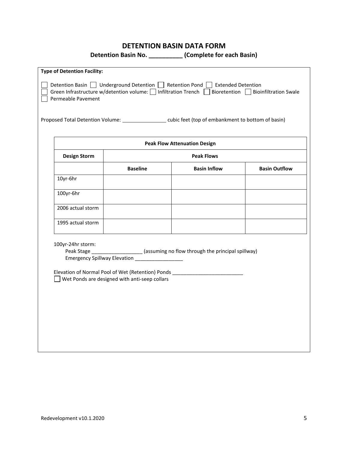#### **DETENTION BASIN DATA FORM**

**Detention Basin No. \_\_\_\_\_\_\_\_\_\_ (Complete for each Basin)**

| Permeable Pavement  |                                                                                                  | Detention Basin J Underground Detention Retention Pond B Extended Detention<br>Green Infrastructure w/detention volume: $\Box$ Infiltration Trench $\Box$ Bioretention $\Box$ Bioinfiltration Swale<br>Proposed Total Detention Volume: _______________________cubic feet (top of embankment to bottom of basin) |                      |
|---------------------|--------------------------------------------------------------------------------------------------|------------------------------------------------------------------------------------------------------------------------------------------------------------------------------------------------------------------------------------------------------------------------------------------------------------------|----------------------|
|                     |                                                                                                  | <b>Peak Flow Attenuation Design</b>                                                                                                                                                                                                                                                                              |                      |
| <b>Design Storm</b> |                                                                                                  | <b>Peak Flows</b>                                                                                                                                                                                                                                                                                                |                      |
|                     | <b>Baseline</b>                                                                                  | <b>Basin Inflow</b>                                                                                                                                                                                                                                                                                              | <b>Basin Outflow</b> |
| 10yr-6hr            |                                                                                                  |                                                                                                                                                                                                                                                                                                                  |                      |
| 100yr-6hr           |                                                                                                  |                                                                                                                                                                                                                                                                                                                  |                      |
| 2006 actual storm   |                                                                                                  |                                                                                                                                                                                                                                                                                                                  |                      |
| 1995 actual storm   |                                                                                                  |                                                                                                                                                                                                                                                                                                                  |                      |
| 100yr-24hr storm:   | Emergency Spillway Elevation __________________<br>Wet Ponds are designed with anti-seep collars | Peak Stage __________________(assuming no flow through the principal spillway)<br>Elevation of Normal Pool of Wet (Retention) Ponds                                                                                                                                                                              |                      |

<u> 1989 - Andrea Santa Alemania, amerikana amerikana amerikana amerikana amerikana amerikana amerikana amerikan</u>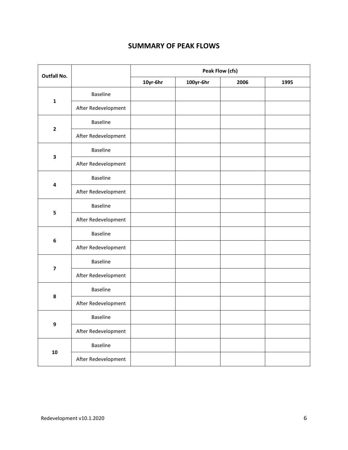## **SUMMARY OF PEAK FLOWS**

| <b>Outfall No.</b>      |                     | Peak Flow (cfs) |           |      |      |
|-------------------------|---------------------|-----------------|-----------|------|------|
|                         |                     | 10yr-6hr        | 100yr-6hr | 2006 | 1995 |
| $\mathbf 1$             | <b>Baseline</b>     |                 |           |      |      |
|                         | After Redevelopment |                 |           |      |      |
|                         | <b>Baseline</b>     |                 |           |      |      |
| $\overline{\mathbf{2}}$ | After Redevelopment |                 |           |      |      |
|                         | <b>Baseline</b>     |                 |           |      |      |
| $\overline{\mathbf{3}}$ | After Redevelopment |                 |           |      |      |
| $\pmb{4}$               | <b>Baseline</b>     |                 |           |      |      |
|                         | After Redevelopment |                 |           |      |      |
| 5                       | <b>Baseline</b>     |                 |           |      |      |
|                         | After Redevelopment |                 |           |      |      |
|                         | <b>Baseline</b>     |                 |           |      |      |
| $\bf 6$                 | After Redevelopment |                 |           |      |      |
|                         | <b>Baseline</b>     |                 |           |      |      |
| $\overline{\mathbf{z}}$ | After Redevelopment |                 |           |      |      |
|                         | <b>Baseline</b>     |                 |           |      |      |
| $\pmb{8}$               | After Redevelopment |                 |           |      |      |
|                         | Baseline            |                 |           |      |      |
| $\boldsymbol{9}$        | After Redevelopment |                 |           |      |      |
|                         | Baseline            |                 |           |      |      |
| ${\bf 10}$              | After Redevelopment |                 |           |      |      |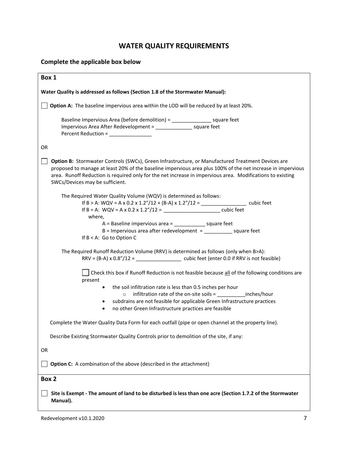## **WATER QUALITY REQUIREMENTS**

#### **Complete the applicable box below**

| Box 1                                                                                                                                                                                                                                                                                                                                                             |
|-------------------------------------------------------------------------------------------------------------------------------------------------------------------------------------------------------------------------------------------------------------------------------------------------------------------------------------------------------------------|
| Water Quality is addressed as follows (Section 1.8 of the Stormwater Manual):                                                                                                                                                                                                                                                                                     |
| Option A: The baseline impervious area within the LOD will be reduced by at least 20%.                                                                                                                                                                                                                                                                            |
| Baseline Impervious Area (before demolition) = ____________________ square feet<br>Impervious Area After Redevelopment = ________________ square feet<br>Percent Reduction = ______________                                                                                                                                                                       |
| <b>OR</b>                                                                                                                                                                                                                                                                                                                                                         |
| Option B: Stormwater Controls (SWCs), Green Infrastructure, or Manufactured Treatment Devices are<br>proposed to manage at least 20% of the baseline impervious area plus 100% of the net increase in impervious<br>area. Runoff Reduction is required only for the net increase in impervious area. Modifications to existing<br>SWCs/Devices may be sufficient. |
| The Required Water Quality Volume (WQV) is determined as follows:                                                                                                                                                                                                                                                                                                 |
| If B = A: WQV = A x 0.2 x 1.2"/12 = __________________________________cubic feet                                                                                                                                                                                                                                                                                  |
| where,                                                                                                                                                                                                                                                                                                                                                            |
| A = Baseline impervious area = _______________ square feet                                                                                                                                                                                                                                                                                                        |
| $B =$ Impervious area after redevelopment = $\frac{S}{S}$ = $\frac{S}{S}$ square feet                                                                                                                                                                                                                                                                             |
| If $B < A$ : Go to Option C                                                                                                                                                                                                                                                                                                                                       |
| The Required Runoff Reduction Volume (RRV) is determined as follows (only when B>A):                                                                                                                                                                                                                                                                              |
| Check this box if Runoff Reduction is not feasible because all of the following conditions are<br>present                                                                                                                                                                                                                                                         |
| the soil infiltration rate is less than 0.5 inches per hour<br>$\bullet$                                                                                                                                                                                                                                                                                          |
| infiltration rate of the on-site soils = ____________inches/hour<br>$\circ$                                                                                                                                                                                                                                                                                       |
| subdrains are not feasible for applicable Green Infrastructure practices                                                                                                                                                                                                                                                                                          |
| no other Green Infrastructure practices are feasible<br>$\bullet$                                                                                                                                                                                                                                                                                                 |
| Complete the Water Quality Data Form for each outfall (pipe or open channel at the property line).                                                                                                                                                                                                                                                                |
| Describe Existing Stormwater Quality Controls prior to demolition of the site, if any:                                                                                                                                                                                                                                                                            |
| <b>OR</b>                                                                                                                                                                                                                                                                                                                                                         |
| Option C: A combination of the above (described in the attachment)                                                                                                                                                                                                                                                                                                |
| Box 2                                                                                                                                                                                                                                                                                                                                                             |
| Site is Exempt - The amount of land to be disturbed is less than one acre (Section 1.7.2 of the Stormwater<br>Manual).                                                                                                                                                                                                                                            |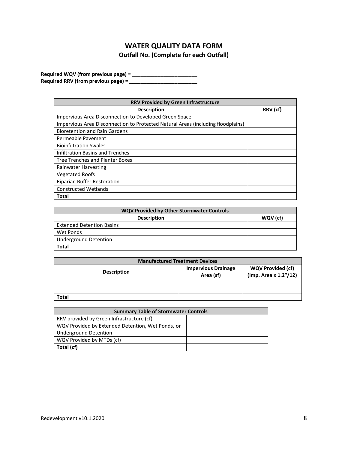## **WATER QUALITY DATA FORM**

**Outfall No. (Complete for each Outfall)**

| Required WQV (from previous page) = _____________<br>Required RRV (from previous page) = ____ |                            |                          |
|-----------------------------------------------------------------------------------------------|----------------------------|--------------------------|
|                                                                                               |                            |                          |
| RRV Provided by Green Infrastructure                                                          |                            |                          |
| <b>Description</b>                                                                            |                            | RRV (cf)                 |
| Impervious Area Disconnection to Developed Green Space                                        |                            |                          |
| Impervious Area Disconnection to Protected Natural Areas (including floodplains)              |                            |                          |
| <b>Bioretention and Rain Gardens</b>                                                          |                            |                          |
| Permeable Pavement                                                                            |                            |                          |
| <b>Bioinfiltration Swales</b>                                                                 |                            |                          |
| <b>Infiltration Basins and Trenches</b>                                                       |                            |                          |
| <b>Tree Trenches and Planter Boxes</b>                                                        |                            |                          |
| Rainwater Harvesting                                                                          |                            |                          |
| <b>Vegetated Roofs</b>                                                                        |                            |                          |
| <b>Riparian Buffer Restoration</b>                                                            |                            |                          |
| <b>Constructed Wetlands</b>                                                                   |                            |                          |
| Total                                                                                         |                            |                          |
|                                                                                               |                            |                          |
| WQV Provided by Other Stormwater Controls                                                     |                            |                          |
| <b>Description</b>                                                                            |                            | WQV (cf)                 |
| <b>Extended Detention Basins</b>                                                              |                            |                          |
| <b>Wet Ponds</b>                                                                              |                            |                          |
| <b>Underground Detention</b>                                                                  |                            |                          |
| <b>Total</b>                                                                                  |                            |                          |
|                                                                                               |                            |                          |
| <b>Manufactured Treatment Devices</b>                                                         |                            |                          |
| <b>Description</b>                                                                            | <b>Impervious Drainage</b> | <b>WQV Provided (cf)</b> |
|                                                                                               | Area (sf)                  | (Imp. Area x 1.2"/12)    |
|                                                                                               |                            |                          |
| <b>Total</b>                                                                                  |                            |                          |
| <b>Summary Table of Stormwater Controls</b>                                                   |                            |                          |
| RRV provided by Green Infrastructure (cf)                                                     |                            |                          |
| WQV Provided by Extended Detention, Wet Ponds, or                                             |                            |                          |
| <b>Underground Detention</b>                                                                  |                            |                          |
| WQV Provided by MTDs (cf)                                                                     |                            |                          |
| Total (cf)                                                                                    |                            |                          |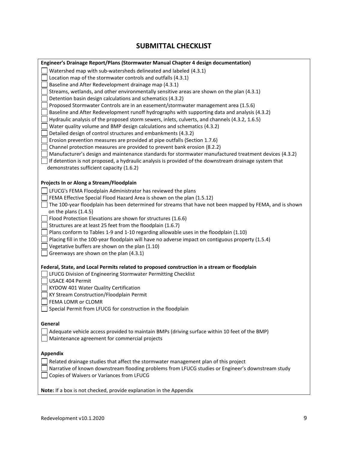## **SUBMITTAL CHECKLIST**

| Engineer's Drainage Report/Plans (Stormwater Manual Chapter 4 design documentation)                     |
|---------------------------------------------------------------------------------------------------------|
| Watershed map with sub-watersheds delineated and labeled (4.3.1)                                        |
| Location map of the stormwater controls and outfalls (4.3.1)                                            |
| Baseline and After Redevelopment drainage map (4.3.1)                                                   |
| Streams, wetlands, and other environmentally sensitive areas are shown on the plan (4.3.1)              |
| Detention basin design calculations and schematics (4.3.2)                                              |
| Proposed Stormwater Controls are in an easement/stormwater management area (1.5.6)                      |
| Baseline and After Redevelopment runoff hydrographs with supporting data and analysis (4.3.2)           |
| Hydraulic analysis of the proposed storm sewers, inlets, culverts, and channels (4.3.2, 1.6.5)          |
| Water quality volume and BMP design calculations and schematics (4.3.2)                                 |
| Detailed design of control structures and embankments (4.3.2)                                           |
| Erosion prevention measures are provided at pipe outfalls (Section 1.7.6)                               |
| Channel protection measures are provided to prevent bank erosion (8.2.2)                                |
| Manufacturer's design and maintenance standards for stormwater manufactured treatment devices (4.3.2)   |
| If detention is not proposed, a hydraulic analysis is provided of the downstream drainage system that   |
| demonstrates sufficient capacity (1.6.2)                                                                |
|                                                                                                         |
| Projects In or Along a Stream/Floodplain                                                                |
| LFUCG's FEMA Floodplain Administrator has reviewed the plans                                            |
| FEMA Effective Special Flood Hazard Area is shown on the plan (1.5.12)                                  |
| The 100-year floodplain has been determined for streams that have not been mapped by FEMA, and is shown |
| on the plans (1.4.5)                                                                                    |
| Flood Protection Elevations are shown for structures (1.6.6)                                            |
| Structures are at least 25 feet from the floodplain (1.6.7)                                             |
| Plans conform to Tables 1-9 and 1-10 regarding allowable uses in the floodplain (1.10)                  |
| Placing fill in the 100-year floodplain will have no adverse impact on contiguous property (1.5.4)      |
| Vegetative buffers are shown on the plan (1.10)                                                         |
| Greenways are shown on the plan (4.3.1)                                                                 |
|                                                                                                         |
| Federal, State, and Local Permits related to proposed construction in a stream or floodplain            |
| LFUCG Division of Engineering Stormwater Permitting Checklist                                           |
| USACE 404 Permit                                                                                        |
| KYDOW 401 Water Quality Certification                                                                   |
| KY Stream Construction/Floodplain Permit                                                                |
| FEMA LOMR or CLOMR                                                                                      |
| Special Permit from LFUCG for construction in the floodplain                                            |
|                                                                                                         |
| General                                                                                                 |
| Adequate vehicle access provided to maintain BMPs (driving surface within 10 feet of the BMP)           |
|                                                                                                         |
| Maintenance agreement for commercial projects                                                           |
|                                                                                                         |
| <b>Appendix</b>                                                                                         |
| Related drainage studies that affect the stormwater management plan of this project                     |
| Narrative of known downstream flooding problems from LFUCG studies or Engineer's downstream study       |
| Copies of Waivers or Variances from LFUCG                                                               |
|                                                                                                         |
| Note: If a box is not checked, provide explanation in the Appendix                                      |